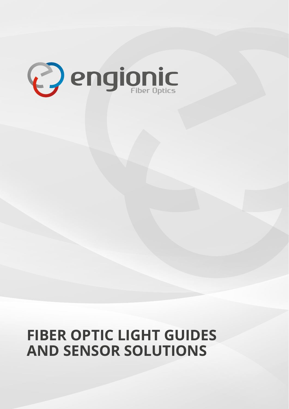

# **FIBER OPTIC LIGHT GUIDES AND SENSOR SOLUTIONS**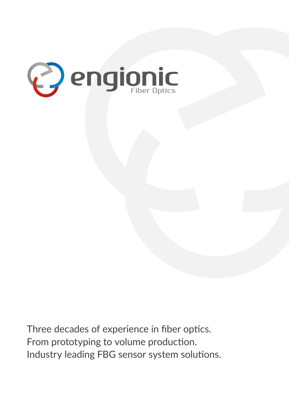

Three decades of experience in fiber optics. From prototyping to volume production. Industry leading FBG sensor system solutions.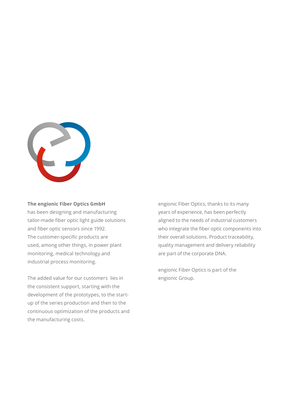

### **The engionic Fiber Optics GmbH**

has been designing and manufacturing tailor-made fiber optic light guide solutions and fiber optic sensors since 1992. The customer-specific products are used, among other things, in power plant monitoring, medical technology and industrial process monitoring.

The added value for our customers lies in the consistent support, starting with the development of the prototypes, to the startup of the series production and then to the continuous optimization of the products and the manufacturing costs.

engionic Fiber Optics, thanks to its many years of experience, has been perfectly aligned to the needs of industrial customers who integrate the fiber optic components into their overall solutions. Product traceability, quality management and delivery reliability are part of the corporate DNA.

engionic Fiber Optics is part of the engionic Group.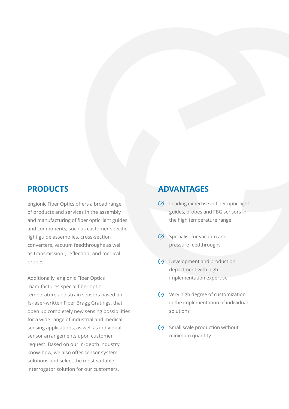engionic Fiber Optics offers a broad range of products and services in the assembly and manufacturing of fiber optic light guides and components, such as customer-specific light guide assemblies, cross-section converters, vacuum feedthroughs as well as transmission-, reflection- and medical probes.

Additionally, engionic Fiber Optics manufactures special fiber optic temperature and strain sensors based on fs-laser-written Fiber Bragg Gratings, that open up completely new sensing possibilities for a wide range of industrial and medical sensing applications, as well as individual sensor arrangements upon customer request. Based on our in-depth industry know-how, we also offer sensor system solutions and select the most suitable interrogator solution for our customers.

### **PRODUCTS ADVANTAGES**

- $\heartsuit$  Leading expertise in fiber optic light guides, probes and FBG sensors in the high temperature range
- $\heartsuit$  Specialist for vacuum and pressure feedthroughs
- $\heartsuit$  Development and production department with high implementation expertise
- $\heartsuit$  Very high degree of customization in the implementation of individual solutions
- $\heartsuit$  Small scale production without minimum quantity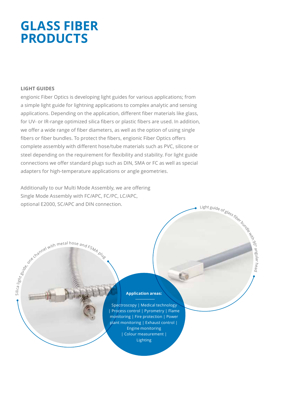# **GLASS FIBER PRODUCTS**

### **LIGHT GUIDES**

Silica l<sub>ig</sub>

engionic Fiber Optics is developing light guides for various applications; from a simple light guide for lightning applications to complex analytic and sensing applications. Depending on the application, different fiber materials like glass, for UV- or IR-range optimized silica fibers or plastic fibers are used. In addition, we offer a wide range of fiber diameters, as well as the option of using single fibers or fiber bundles. To protect the fibers, engionic Fiber Optics offers complete assembly with different hose/tube materials such as PVC, silicone or steel depending on the requirement for flexibility and stability. For light guide connections we offer standard plugs such as DIN, SMA or FC as well as special adapters for high-temperature applications or angle geometries.

Additionally to our Multi Mode Assembly, we are offering Single Mode Assembly with FC/APC, FC/PC, LC/APC, optional E2000, SC/APC and DIN connection.

the gove channel with metal hose and FSMA plug

### **Application areas:**

Light guide of glass fiber bundle with

90° angular head

 Spectroscopy | Medical technology | Process control | Pyrometry | Flame monitoring | Fire protection | Power plant monitoring | Exhaust control | Engine monitoring | Colour measurement | Lighting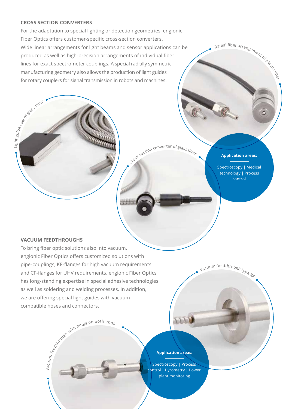### **CROSS SECTION CONVERTERS**

For the adaptation to special lighting or detection geometries, engionic Fiber Optics offers customer-specific cross-section converters. Wide linear arrangements for light beams and sensor applications can be produced as well as high-precision arrangements of individual fiber lines for exact spectrometer couplings. A special radially symmetric manufacturing geometry also allows the production of light guides for rotary couplers for signal transmission in robots and machines.



### **Application areas:**

Radial fiber arrangement of playstic field

 $\circ$ 

Spectroscopy | Medical technology | Process control

### **VACUUM FEEDTHROUGHS**

Vacuu m

Light g

uide row

Let a glass fiber

To bring fiber optic solutions also into vacuum, engionic Fiber Optics offers customized solutions with pipe-couplings, KF-flanges for high vacuum requirements and CF-flanges for UHV requirements. engionic Fiber Optics has long-standing expertise in special adhesive technologies as well as soldering and welding processes. In addition, we are offering special light guides with vacuum compatible hoses and connectors.



Vacuum feedthrough type KF

### **Application areas:**

Spectroscopy | Process control | Pyrometry | Power plant monitoring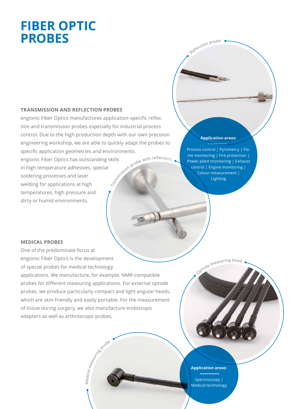# **FIBER OPTIC PROBES**

### **TRANSMISSION AND REFLECTION PROBES**

engionic Fiber Optics manufactures application-specific reflection and transmission probes especially for industrial process control. Due to the high production depth with our own precision engineering workshop, we are able to quickly adapt the probes to specific application geometries and environments. J. CO

engionic Fiber Optics has outstanding skills in high temperature adhesives, special soldering processes and laser welding for applications at high temperatures, high pressure and dirty or humid environments.

Process control | Pyrometry | Flame monitoring | Fire protection | Power plant monitoring | Exhaust control | Engine monitoring | Colour measurement | Lighting

**Application areas:**

Reflection probe

### **MEDICAL PROBES**

One of the predominate focus at engionic Fiber Optics is the development of special probes for medical technology applications. We manufacture, for example, NMR-compatible probes for different measuring applications. For external optode probes, we produce particularly compact and light angular heads, which are skin-friendly and easily portable. For the measurement of tissue during surgery, we also manufacture endoscopic adapters as well as arthroscopic probes.

Medical measuring probably

Optod<sup>e</sup> <sup>m</sup>easurin<sup>g</sup> <sup>h</sup>ea<sup>d</sup>

### **Application areas:**

Spectroscopy | Medical technology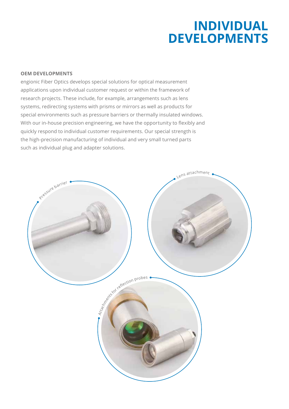# **INDIVIDUAL DEVELOPMENTS**

### **OEM DEVELOPMENTS**

engionic Fiber Optics develops special solutions for optical measurement applications upon individual customer request or within the framework of research projects. These include, for example, arrangements such as lens systems, redirecting systems with prisms or mirrors as well as products for special environments such as pressure barriers or thermally insulated windows. With our in-house precision engineering, we have the opportunity to flexibly and quickly respond to individual customer requirements. Our special strength is the high-precision manufacturing of individual and very small turned parts such as individual plug and adapter solutions.

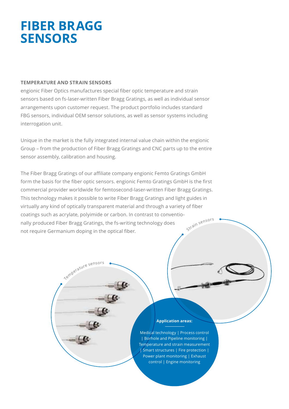# **FIBER BRAGG SENSORS**

### **TEMPERATURE AND STRAIN SENSORS**

engionic Fiber Optics manufactures special fiber optic temperature and strain sensors based on fs-laser-written Fiber Bragg Gratings, as well as individual sensor arrangements upon customer request. The product portfolio includes standard FBG sensors, individual OEM sensor solutions, as well as sensor systems including interrogation unit.

Unique in the market is the fully integrated internal value chain within the engionic Group – from the production of Fiber Bragg Gratings and CNC parts up to the entire sensor assembly, calibration and housing.

The Fiber Bragg Gratings of our affiliate company engionic Femto Gratings GmbH form the basis for the fiber optic sensors. engionic Femto Gratings GmbH is the first commercial provider worldwide for femtosecond-laser-written Fiber Bragg Gratings. This technology makes it possible to write Fiber Bragg Gratings and light guides in virtually any kind of optically transparent material and through a variety of fiber coatings such as acrylate, polyimide or carbon. In contrast to conventionally produced Fiber Bragg Gratings, the fs-writing technology does not require Germanium doping in the optical fiber. Strain sensors

Temperature sensors

### **Application areas:**

Medical technology | Process control | Borhole and Pipeline monitoring | Temperature and strain measurement | Smart structures | Fire protection | Power plant monitoring | Exhaust control | Engine monitoring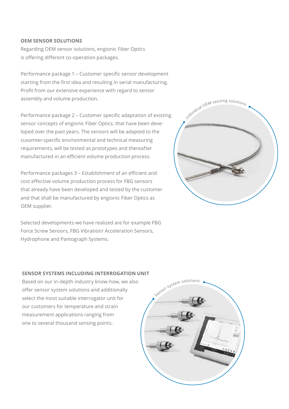### **OEM SENSOR SOLUTIONS**

Regarding OEM sensor solutions, engionic Fiber Optics is offering different co-operation packages.

Performance package 1 – Customer specific sensor development starting from the first idea and resulting in serial manufacturing. Profit from our extensive experience with regard to sensor assembly and volume production.

Performance package 2 – Customer specific adaptation of existing sensor concepts of engionic Fiber Optics, that have been developed over the past years. The sensors will be adapted to the cusomter-specific environmental and technical measuring requirements, will be tested as prototypes and thereafter manufactured in an efficient volume production process.

Performance packages 3 – Establishment of an efficient and cost effective volume production process for FBG sensors that already have been developed and tested by the customer and that shall be manufactured by engionic Fiber Optics as OEM supplier.

Selected developments we have realized are for example FBG Force Screw Sensors, FBG Vibration/ Acceleration Sensors, Hydrophone and Pantograph Systems.

# Individual OEM sensing solutions

### **SENSOR SYSTEMS INCLUDING INTERROGATION UNIT**

Based on our in-depth industry know-how, we also offer sensor system solutions and additionally select the most suitable interrogator unit for our customers for temperature and strain measurement applications ranging from one to several thousand sensing points.

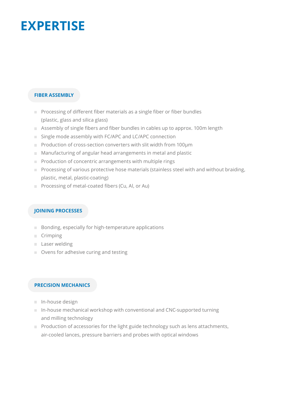# **EXPERTISE**

### **FIBER ASSEMBLY**

- Processing of different fiber materials as a single fiber or fiber bundles (plastic, glass and silica glass)
- Assembly of single fibers and fiber bundles in cables up to approx. 100m length
- Single mode assembly with FC/APC and LC/APC connection
- Production of cross-section converters with slit width from 100um
- Manufacturing of angular head arrangements in metal and plastic
- $\blacksquare$  Production of concentric arrangements with multiple rings
- $\blacksquare$  Processing of various protective hose materials (stainless steel with and without braiding, plastic, metal, plastic-coating)
- **Processing of metal-coated fibers (Cu, Al, or Au)**

### **JOINING PROCESSES**

- $\Box$  Bonding, especially for high-temperature applications
- Crimping
- **Laser welding**
- Ovens for adhesive curing and testing

### **PRECISION MECHANICS**

- **In-house design**
- $\blacksquare$  In-house mechanical workshop with conventional and CNC-supported turning and milling technology
- $\blacksquare$  Production of accessories for the light guide technology such as lens attachments, air-cooled lances, pressure barriers and probes with optical windows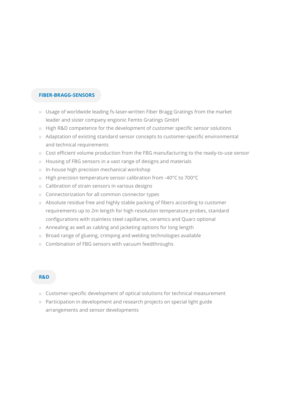### **FIBER-BRAGG-SENSORS**

- Usage of worldwide leading fs-laser-written Fiber Bragg Gratings from the market leader and sister company engionic Femto Gratings GmbH
- **High R&D competence for the development of customer specific sensor solutions**
- Adaptation of existing standard sensor concepts to customer-specific environmental and technical requirements
- Cost efficient volume production from the FBG manufacturing to the ready-to-use sensor
- Housing of FBG sensors in a vast range of designs and materials
- $\blacksquare$  In-house high precision mechanical workshop
- High precision temperature sensor calibration from -40°C to 700°C
- Calibration of strain sensors in various designs
- Connectorization for all common connector types
- Absolute residue free and highly stable packing of fibers according to customer requirements up to 2m length for high resolution temperature probes, standard configurations with stainless steel capillaries, ceramics and Quarz optional
- Annealing as well as cabling and jacketing options for long length
- $\blacksquare$  Broad range of glueing, crimping and welding technologies available
- Combination of FBG sensors with vacuum feedthroughs

### **R&D**

- Customer-specific development of optical solutions for technical measurement
- **Participation in development and research projects on special light guide** arrangements and sensor developments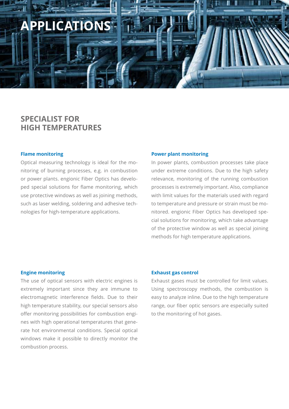

### **SPECIALIST FOR HIGH TEMPERATURES**

### **Flame monitoring**

Optical measuring technology is ideal for the monitoring of burning processes, e.g. in combustion or power plants. engionic Fiber Optics has developed special solutions for flame monitoring, which use protective windows as well as joining methods, such as laser welding, soldering and adhesive technologies for high-temperature applications.

### **Power plant monitoring**

In power plants, combustion processes take place under extreme conditions. Due to the high safety relevance, monitoring of the running combustion processes is extremely important. Also, compliance with limit values for the materials used with regard to temperature and pressure or strain must be monitored. engionic Fiber Optics has developed special solutions for monitoring, which take advantage of the protective window as well as special joining methods for high temperature applications.

### **Engine monitoring**

The use of optical sensors with electric engines is extremely important since they are immune to electromagnetic interference fields. Due to their high temperature stability, our special sensors also offer monitoring possibilities for combustion engines with high operational temperatures that generate hot environmental conditions. Special optical windows make it possible to directly monitor the combustion process.

### **Exhaust gas control**

Exhaust gases must be controlled for limit values. Using spectroscopy methods, the combustion is easy to analyze inline. Due to the high temperature range, our fiber optic sensors are especially suited to the monitoring of hot gases.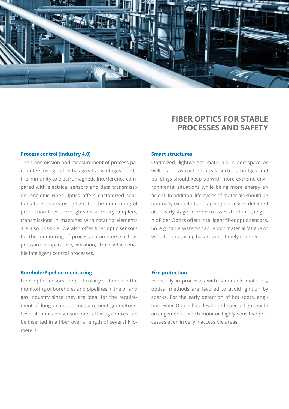

## **FIBER OPTICS FOR STABLE PROCESSES AND SAFETY**

### **Process control (industry 4.0)**

The transmission and measurement of process parameters using optics has great advantages due to the immunity to electromagnetic interference compared with electrical sensors and data transmission. engionic Fiber Optics offers customized solutions for sensors using light for the monitoring of production lines. Through special rotary couplers, transmissions in machines with rotating elements are also possible. We also offer fiber optic sensors for the monitoring of process parameters such as pressure, temperature, vibration, strain, which enable intelligent control processes.

### **Smart structures**

Optimized, lightweight materials in aerospace as well as infrastructure areas such as bridges and buildings should keep up with more extreme environmental situations while being more energy efficient. In addition, life cycles of materials should be optimally exploited and ageing processes detected at an early stage. In order to assess the limits, engionic Fiber Optics offers intelligent fiber optic sensors. So, e.g. cable systems can report material fatigue or wind turbines icing hazards in a timely manner.

### **Borehole/Pipeline monitoring**

Fiber optic sensors are particularly suitable for the monitoring of boreholes and pipelines in the oil and gas industry since they are ideal for the requirement of long extended measurement geometries. Several thousand sensors or scattering centres can be inserted in a fiber over a length of several kilometers.

### **Fire protection**

Especially in processes with flammable materials, optical methods are favored to avoid ignition by sparks. For the early detection of hot spots, engionic Fiber Optics has developed special light guide arrangements, which monitor highly sensitive processes even in very inaccessible areas.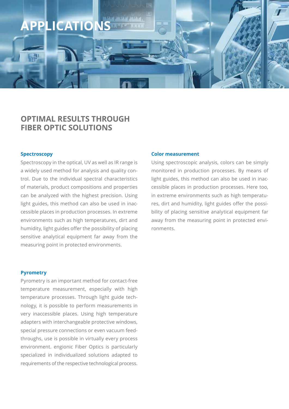

### **OPTIMAL RESULTS THROUGH FIBER OPTIC SOLUTIONS**

### **Spectroscopy**

Spectroscopy in the optical, UV as well as IR range is a widely used method for analysis and quality control. Due to the individual spectral characteristics of materials, product compositions and properties can be analyzed with the highest precision. Using light guides, this method can also be used in inaccessible places in production processes. In extreme environments such as high temperatures, dirt and humidity, light guides offer the possibility of placing sensitive analytical equipment far away from the measuring point in protected environments.

### **Pyrometry**

Pyrometry is an important method for contact-free temperature measurement, especially with high temperature processes. Through light guide technology, it is possible to perform measurements in very inaccessible places. Using high temperature adapters with interchangeable protective windows, special pressure connections or even vacuum feedthroughs, use is possible in virtually every process environment. engionic Fiber Optics is particularly specialized in individualized solutions adapted to requirements of the respective technological process.

### **Color measurement**

Using spectroscopic analysis, colors can be simply monitored in production processes. By means of light guides, this method can also be used in inaccessible places in production processes. Here too, in extreme environments such as high temperatures, dirt and humidity, light guides offer the possibility of placing sensitive analytical equipment far away from the measuring point in protected environments.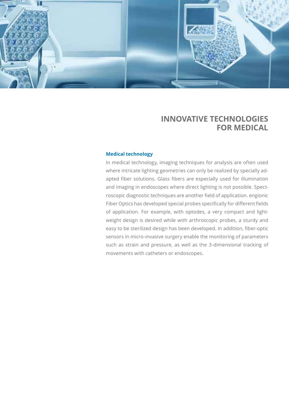

### **INNOVATIVE TECHNOLOGIES FOR MEDICAL**

### **Medical technology**

In medical technology, imaging techniques for analysis are often used where intricate lighting geometries can only be realized by specially adapted fiber solutions. Glass fibers are especially used for illumination and imaging in endoscopes where direct lighting is not possible. Spectroscopic diagnostic techniques are another field of application. engionic Fiber Optics has developed special probes specifically for different fields of application. For example, with optodes, a very compact and lightweight design is desired while with arthroscopic probes, a sturdy and easy to be sterilized design has been developed. In addition, fiber-optic sensors in micro-invasive surgery enable the monitoring of parameters such as strain and pressure, as well as the 3-dimensional tracking of movements with catheters or endoscopes.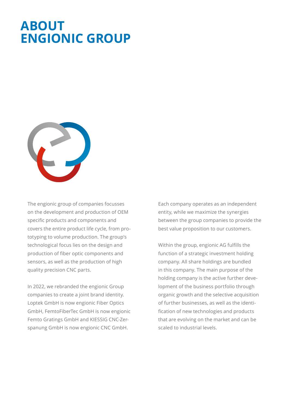# **ABOUT ENGIONIC GROUP**



The engionic group of companies focusses on the development and production of OEM specific products and components and covers the entire product life cycle, from prototyping to volume production. The group's technological focus lies on the design and production of fiber optic components and sensors, as well as the production of high quality precision CNC parts.

In 2022, we rebranded the engionic Group companies to create a joint brand identity. Loptek GmbH is now engionic Fiber Optics GmbH, FemtoFiberTec GmbH is now engionic Femto Gratings GmbH and KIESSIG CNC-Zerspanung GmbH is now engionic CNC GmbH.

Each company operates as an independent entity, while we maximize the synergies between the group companies to provide the best value proposition to our customers.

Within the group, engionic AG fulfills the function of a strategic investment holding company. All share holdings are bundled in this company. The main purpose of the holding company is the active further development of the business portfolio through organic growth and the selective acquisition of further businesses, as well as the identification of new technologies and products that are evolving on the market and can be scaled to industrial levels.